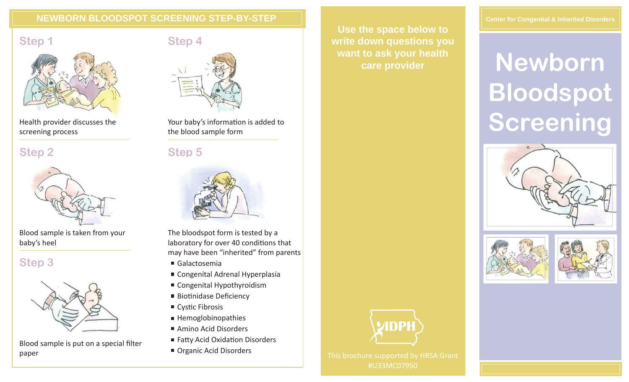### **NEWBORN BLOODSPOT SCREENING STEP-BY-STEP**





Health provider discusses the screening process

**Step 2**



Blood sample is taken from your baby's heel

## **Step 3**



Blood sample is put on a special filter paper

## **Step 4**



Your baby's information is added to the blood sample form

**Step 5**



The bloodspot form is tested by a laboratory for over 40 conditions that may have been "inherited" from parents

- Galactosemia
- Congenital Adrenal Hyperplasia
- Congenital Hypothyroidism
- Biotinidase Deficiency
- $\blacksquare$  Cystic Fibrosis
- $H$ emoglobinopathies
- Amino Acid Disorders
- Fatty Acid Oxidation Disorders
- 

**Use the space below to write down questions you want to ask your health care provider**

#### **Center for Congenital & Inherited Disorders**

# **Newborn Bloodspot Screening**









**Organic Acid Disorders** This brochure supported by HRSA Grant #U33MC07950